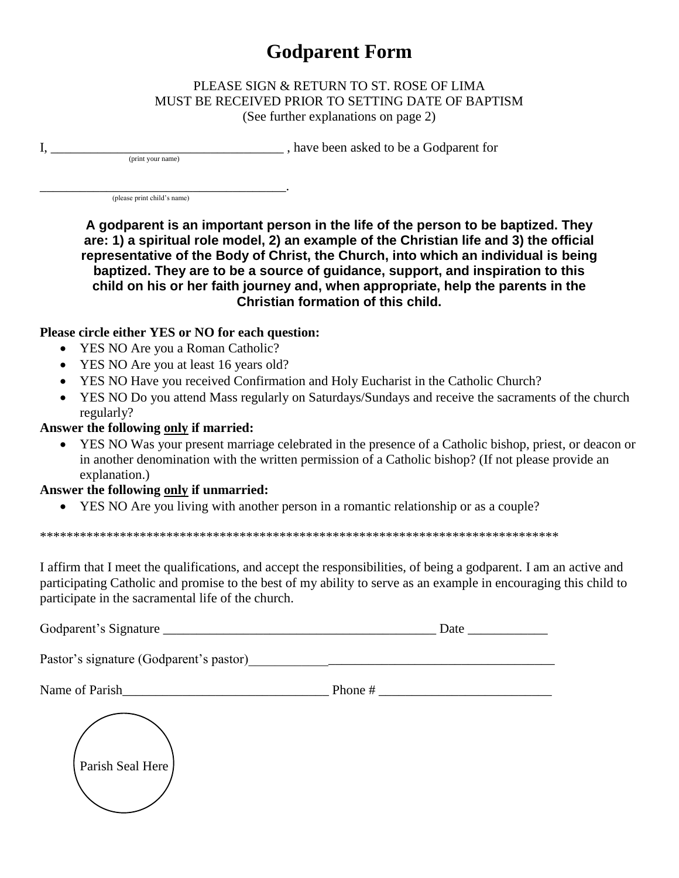# **Godparent Form**

#### PLEASE SIGN & RETURN TO ST. ROSE OF LIMA MUST BE RECEIVED PRIOR TO SETTING DATE OF BAPTISM (See further explanations on page 2)

have been asked to be a Godparent for

(please print child's name)

(print your name)

 $\mathbf{I}$ ,

A godparent is an important person in the life of the person to be baptized. They are: 1) a spiritual role model, 2) an example of the Christian life and 3) the official representative of the Body of Christ, the Church, into which an individual is being baptized. They are to be a source of quidance, support, and inspiration to this child on his or her faith journey and, when appropriate, help the parents in the Christian formation of this child.

## Please circle either YES or NO for each question:

- YES NO Are you a Roman Catholic?
- YES NO Are you at least 16 years old?
- YES NO Have you received Confirmation and Holy Eucharist in the Catholic Church?
- YES NO Do you attend Mass regularly on Saturdays/Sundays and receive the sacraments of the church regularly?

## Answer the following only if married:

YES NO Was your present marriage celebrated in the presence of a Catholic bishop, priest, or deacon or  $\bullet$ in another denomination with the written permission of a Catholic bishop? (If not please provide an explanation.)

#### Answer the following only if unmarried:

• YES NO Are you living with another person in a romantic relationship or as a couple?

I affirm that I meet the qualifications, and accept the responsibilities, of being a godparent. I am an active and participating Catholic and promise to the best of my ability to serve as an example in encouraging this child to participate in the sacramental life of the church.

| Godparent's Signature                                                                                       |           |
|-------------------------------------------------------------------------------------------------------------|-----------|
| Pastor's signature (Godparent's pastor)                                                                     |           |
| Name of Parish<br>the control of the control of the control of the control of the control of the control of | Phone $#$ |
| Parish Seal Here                                                                                            |           |